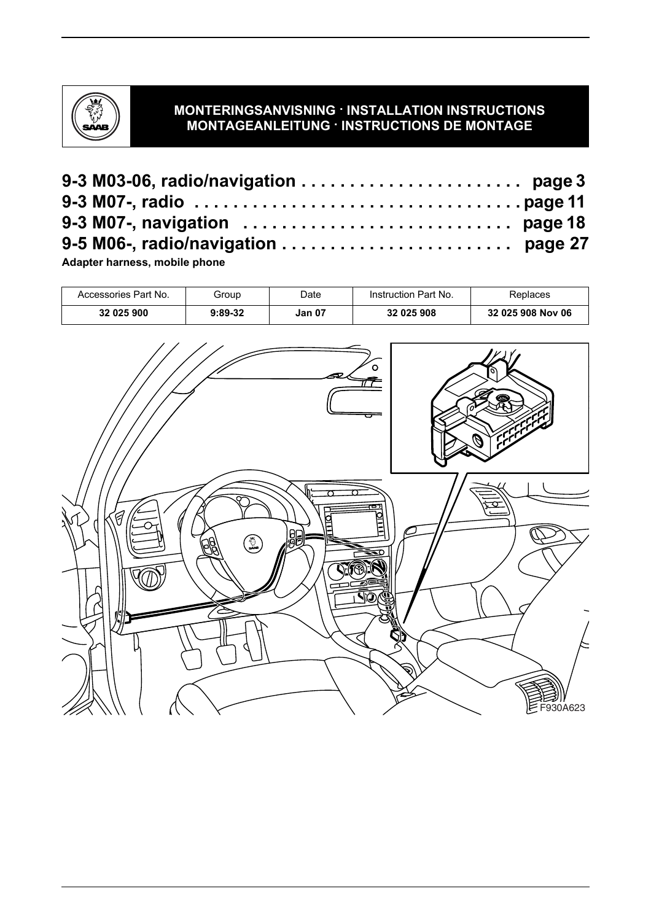

# **MONTERINGSANVISNING · INSTALLATION INSTRUCTIONS MONTAGEANLEITUNG · INSTRUCTIONS DE MONTAGE**

**Adapter harness, mobile phone**

| Accessories Part No. | Group   | Date          | Instruction Part No. | Replaces          |
|----------------------|---------|---------------|----------------------|-------------------|
| 32 025 900           | 9:89-32 | <b>Jan 07</b> | 32 025 908           | 32 025 908 Nov 06 |
|                      |         |               | $\circ$<br>ᇰ         | U                 |
| 7<br>እ               | \$<br>的 | 胴             | ≂o<br>Î,<br>VÕ       |                   |
|                      |         |               |                      | F930A623          |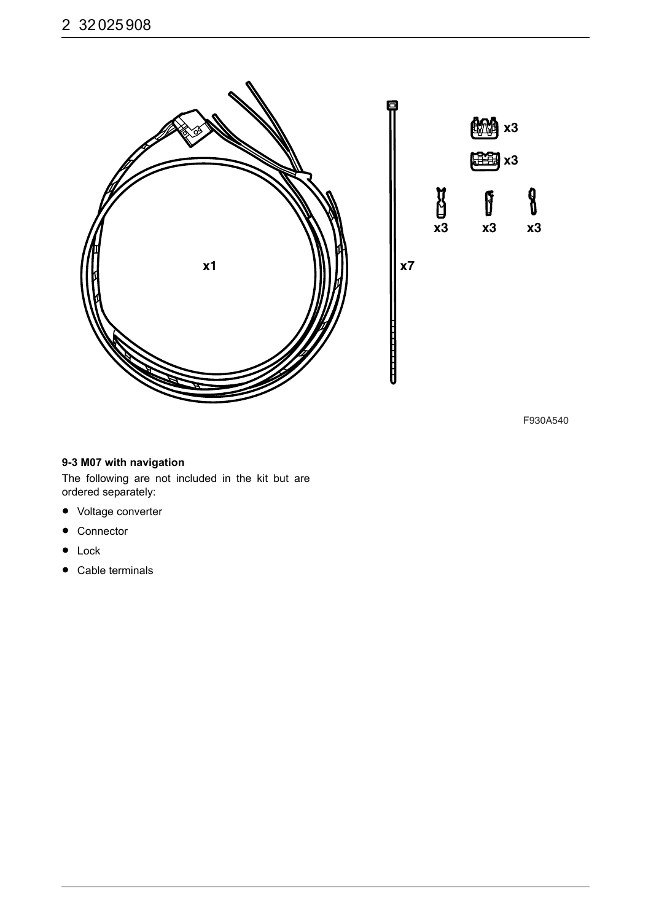

F930A540

**x3**

 $\beta$ 

**x3**

I

**x3**

**x3 x3**

 $\boldsymbol{\theta}$ 

#### **9-3 M07 with navigation**

The following are not included in the kit but are ordered separately:

- Voltage converter
- Connector
- Lock
- Cable terminals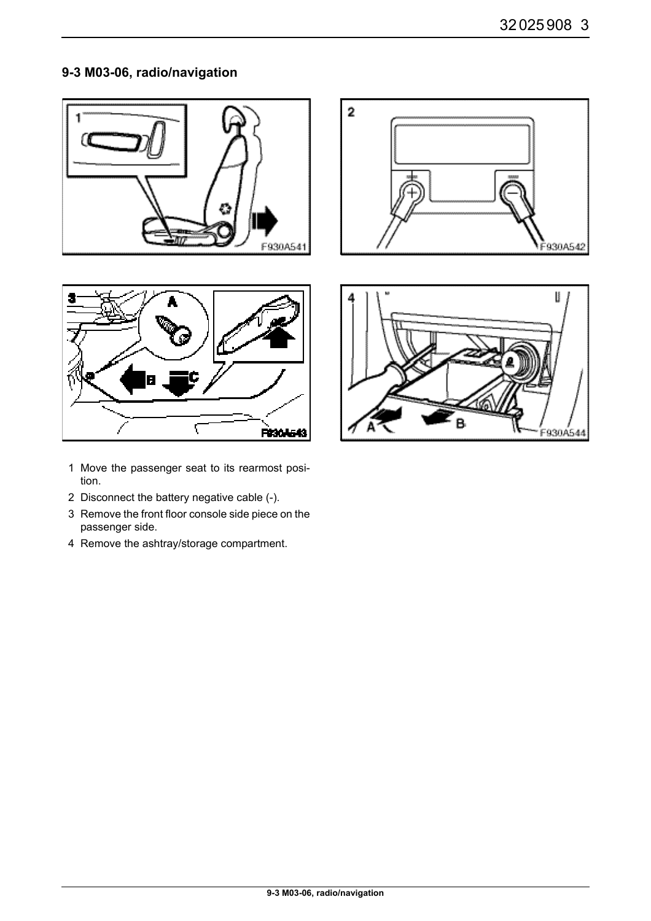# **9-3 M03-06, radio/navigation**









- 1 Move the passenger seat to its rearmost position.
- 2 Disconnect the battery negative cable (-).
- 3 Remove the front floor console side piece on the passenger side.
- 4 Remove the ashtray/storage compartment.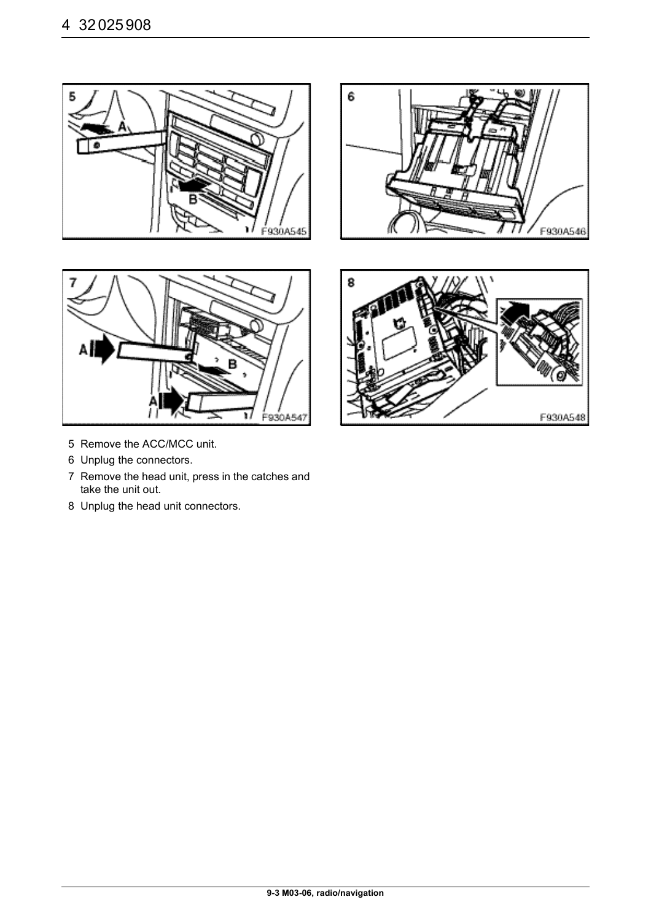



6 F930A546



- 5 Remove the ACC/MCC unit.
- 6 Unplug the connectors.
- 7 Remove the head unit, press in the catches and take the unit out.
- 8 Unplug the head unit connectors.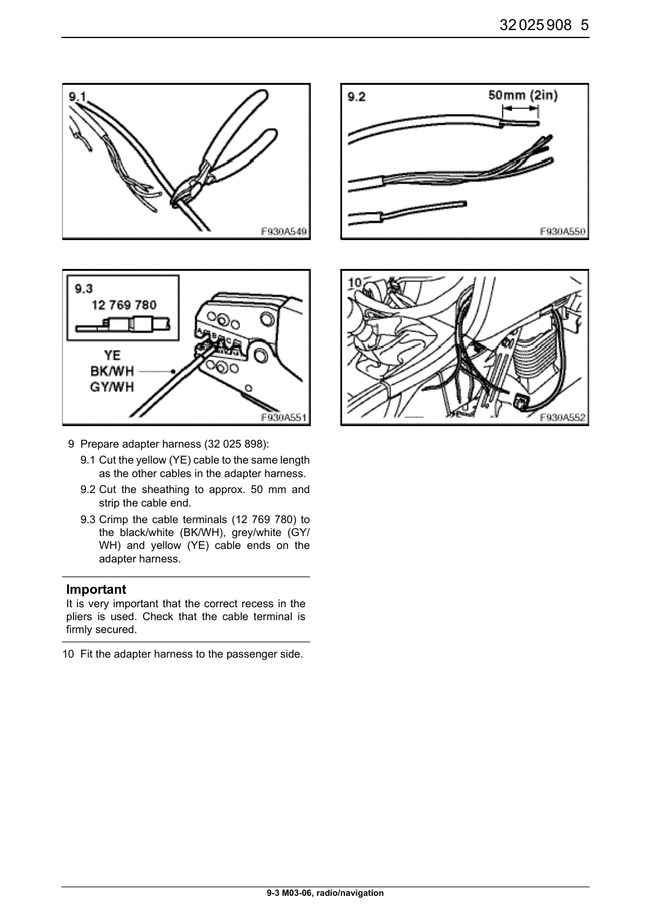



- 9 Prepare adapter harness (32 025 898):
	- 9.1 Cut the yellow (YE) cable to the same length as the other cables in the adapter harness.
	- 9.2 Cut the sheathing to approx. 50 mm and strip the cable end.
	- 9.3 Crimp the cable terminals (12 769 780) to the black/white (BK/WH), grey/white (GY/ WH) and yellow (YE) cable ends on the adapter harness.

It is very important that the correct recess in the pliers is used. Check that the cable terminal is firmly secured.

10 Fit the adapter harness to the passenger side.



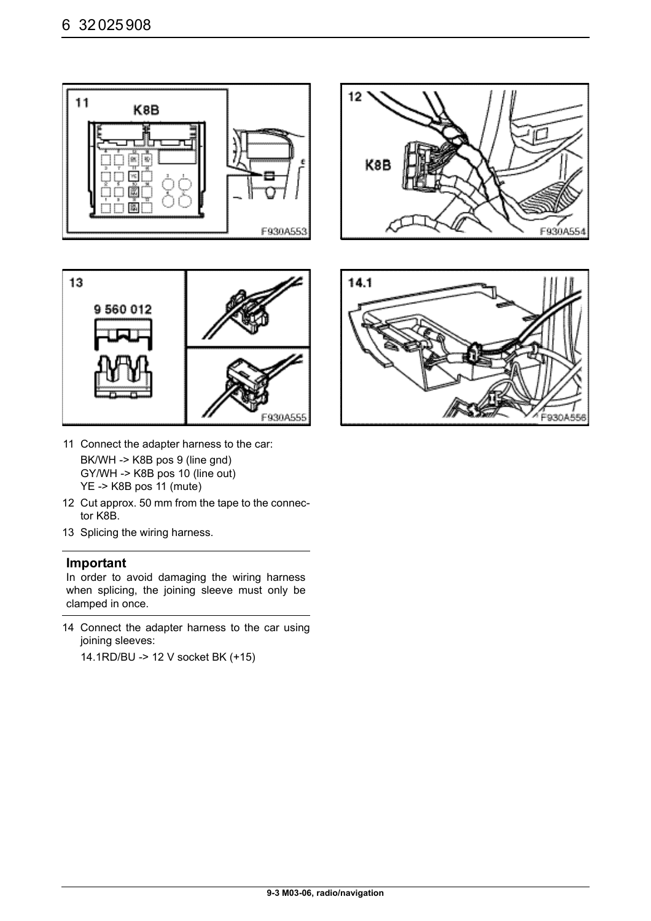



- 11 Connect the adapter harness to the car: BK/WH -> K8B pos 9 (line gnd) GY/WH -> K8B pos 10 (line out) YE -> K8B pos 11 (mute)
- 12 Cut approx. 50 mm from the tape to the connector K8B.
- 13 Splicing the wiring harness.

In order to avoid damaging the wiring harness when splicing, the joining sleeve must only be clamped in once.

14 Connect the adapter harness to the car using joining sleeves:

14.1RD/BU -> 12 V socket BK (+15)

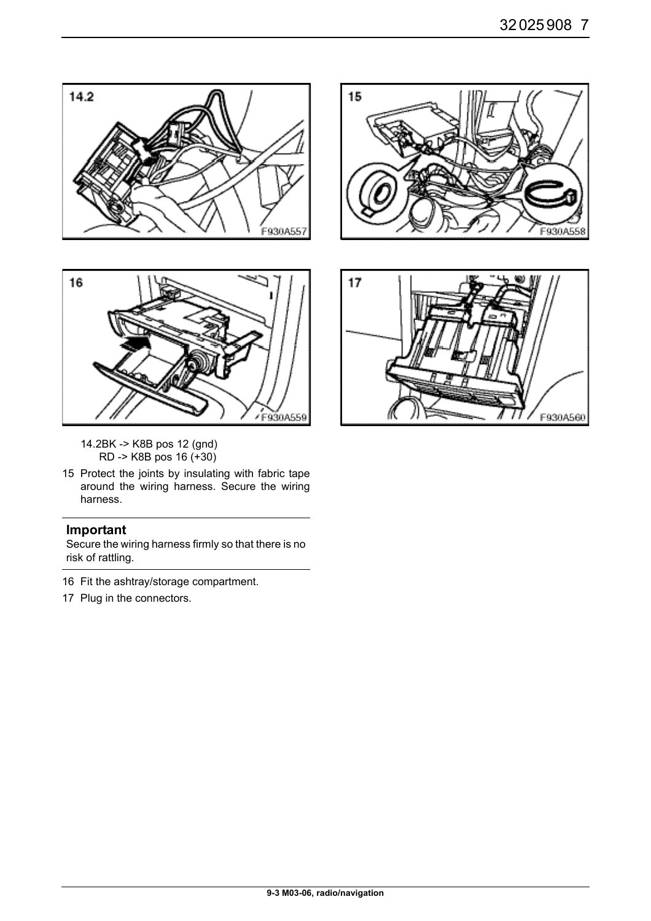



- 14.2BK -> K8B pos 12 (gnd) RD -> K8B pos 16 (+30)
- 15 Protect the joints by insulating with fabric tape around the wiring harness. Secure the wiring harness.

Secure the wiring harness firmly so that there is no risk of rattling.

- 16 Fit the ashtray/storage compartment.
- 17 Plug in the connectors.



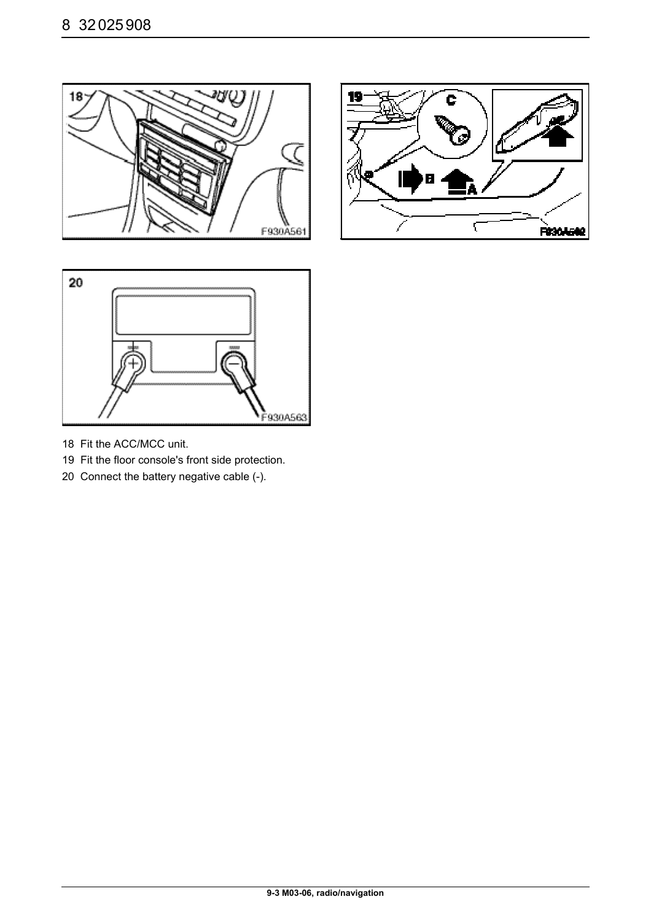





- 18 Fit the ACC/MCC unit.
- 19 Fit the floor console's front side protection.
- 20 Connect the battery negative cable (-).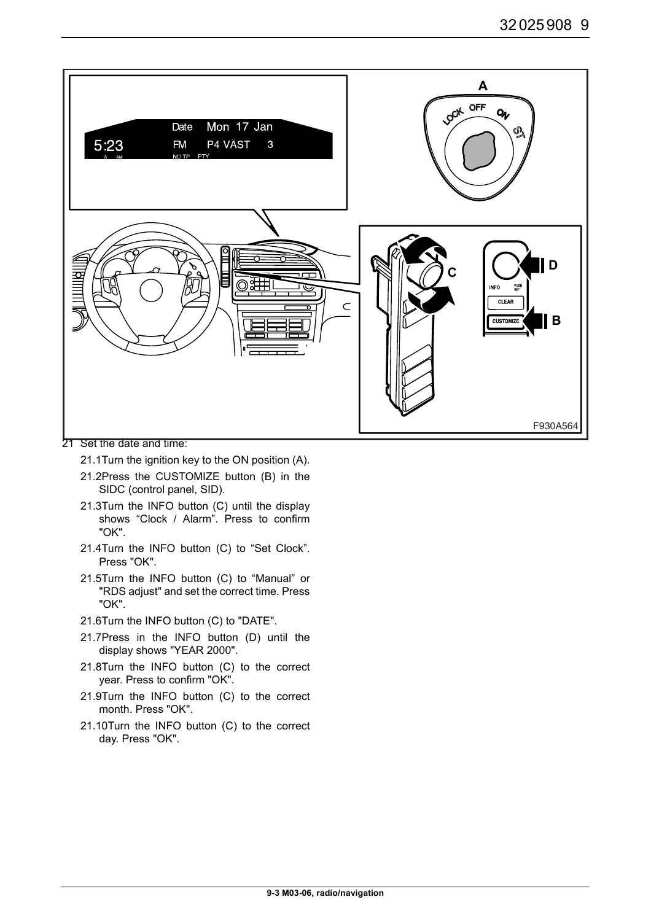

- 21 Set the date and time:
	- 21.1Turn the ignition key to the ON position (A).
	- 21.2Press the CUSTOMIZE button (B) in the SIDC (control panel, SID).
	- 21.3Turn the INFO button (C) until the display shows "Clock / Alarm". Press to confirm "OK".
	- 21.4Turn the INFO button (C) to "Set Clock". Press "OK".
	- 21.5Turn the INFO button (C) to "Manual" or "RDS adjust" and set the correct time. Press "OK".
	- 21.6Turn the INFO button (C) to "DATE".
	- 21.7Press in the INFO button (D) until the display shows "YEAR 2000".
	- 21.8Turn the INFO button (C) to the correct year. Press to confirm "OK".
	- 21.9Turn the INFO button (C) to the correct month. Press "OK".
	- 21.10Turn the INFO button (C) to the correct day. Press "OK".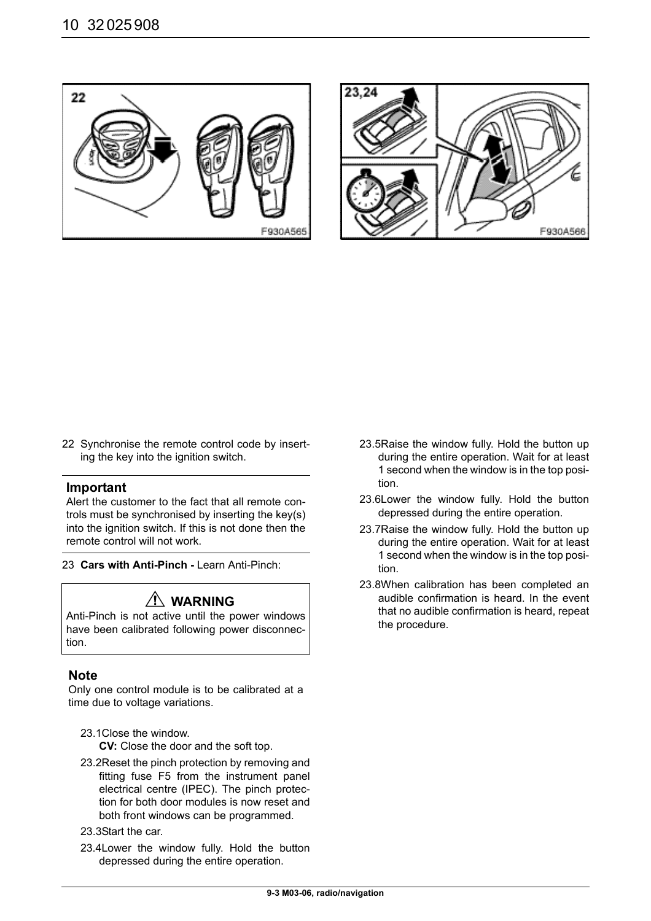



22 Synchronise the remote control code by inserting the key into the ignition switch.

#### **Important**

Alert the customer to the fact that all remote controls must be synchronised by inserting the key(s) into the ignition switch. If this is not done then the remote control will not work.

23 **Cars with Anti-Pinch -** Learn Anti-Pinch:

# **WARNING**

Anti-Pinch is not active until the power windows have been calibrated following power disconnection.

# **Note**

Only one control module is to be calibrated at a time due to voltage variations.

23.1Close the window.

**CV:** Close the door and the soft top.

- 23.2Reset the pinch protection by removing and fitting fuse F5 from the instrument panel electrical centre (IPEC). The pinch protection for both door modules is now reset and both front windows can be programmed.
- 23.3Start the car.
- 23.4Lower the window fully. Hold the button depressed during the entire operation.
- 23.5Raise the window fully. Hold the button up during the entire operation. Wait for at least 1 second when the window is in the top position.
- 23.6Lower the window fully. Hold the button depressed during the entire operation.
- 23.7Raise the window fully. Hold the button up during the entire operation. Wait for at least 1 second when the window is in the top position.
- 23.8When calibration has been completed an audible confirmation is heard. In the event that no audible confirmation is heard, repeat the procedure.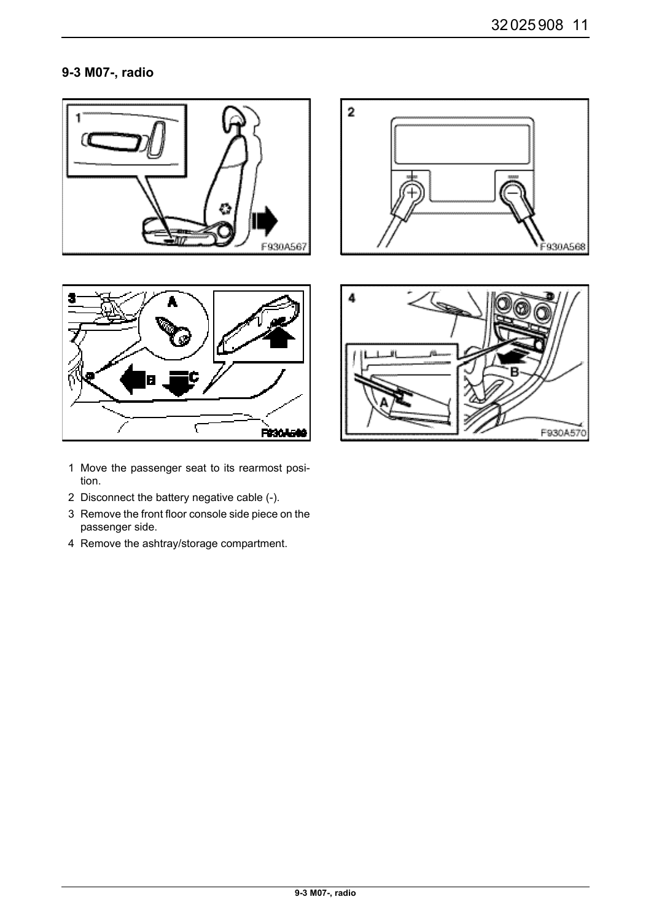# **9-3 M07-, radio**









- 1 Move the passenger seat to its rearmost position.
- 2 Disconnect the battery negative cable (-).
- 3 Remove the front floor console side piece on the passenger side.
- 4 Remove the ashtray/storage compartment.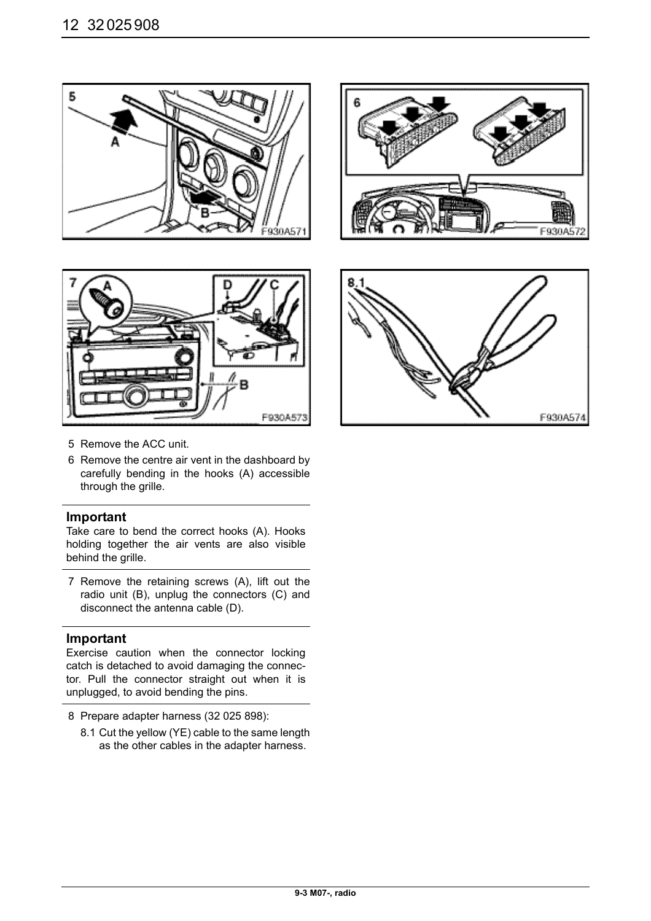



F930A



- 5 Remove the ACC unit.
- 6 Remove the centre air vent in the dashboard by carefully bending in the hooks (A) accessible through the grille.

#### **Important**

Take care to bend the correct hooks (A). Hooks holding together the air vents are also visible behind the grille.

7 Remove the retaining screws (A), lift out the radio unit (B), unplug the connectors (C) and disconnect the antenna cable (D).

#### **Important**

Exercise caution when the connector locking catch is detached to avoid damaging the connector. Pull the connector straight out when it is unplugged, to avoid bending the pins.

- 8 Prepare adapter harness (32 025 898):
	- 8.1 Cut the yellow (YE) cable to the same length as the other cables in the adapter harness.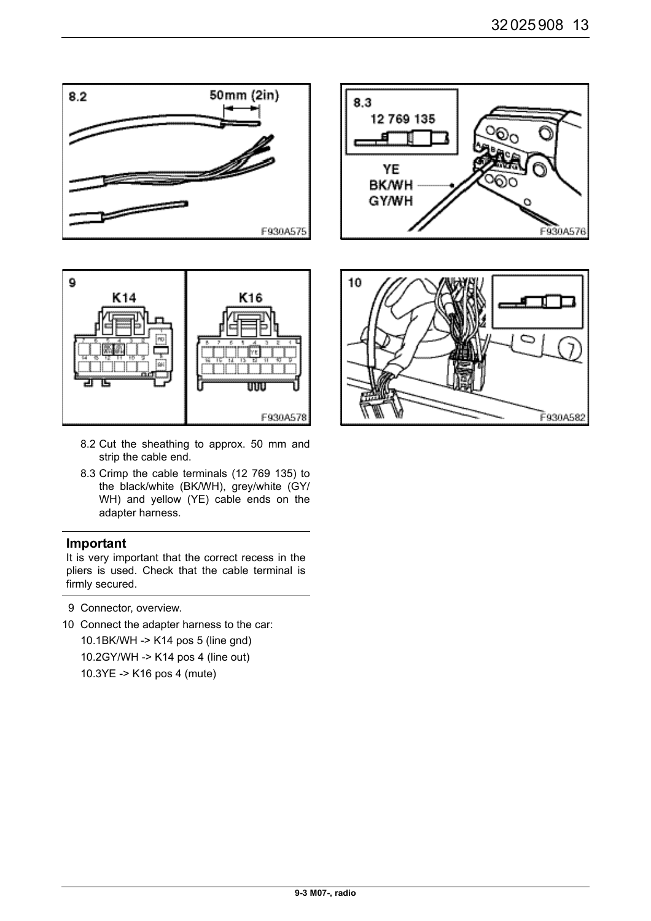



- 8.2 Cut the sheathing to approx. 50 mm and strip the cable end.
- 8.3 Crimp the cable terminals (12 769 135) to the black/white (BK/WH), grey/white (GY/ WH) and yellow (YE) cable ends on the adapter harness.

It is very important that the correct recess in the pliers is used. Check that the cable terminal is firmly secured.

- 9 Connector, overview.
- 10 Connect the adapter harness to the car: 10.1BK/WH -> K14 pos 5 (line gnd) 10.2GY/WH -> K14 pos 4 (line out) 10.3YE -> K16 pos 4 (mute)



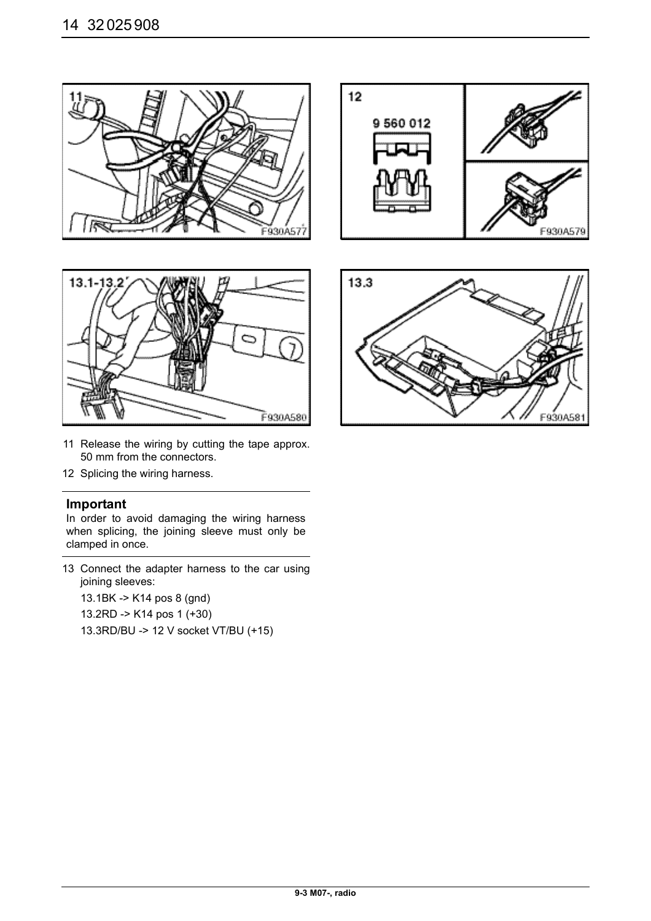





- 11 Release the wiring by cutting the tape approx. 50 mm from the connectors.
- 12 Splicing the wiring harness.

In order to avoid damaging the wiring harness when splicing, the joining sleeve must only be clamped in once.

13 Connect the adapter harness to the car using joining sleeves:

13.1BK -> K14 pos 8 (gnd)

13.2RD -> K14 pos 1 (+30)

13.3RD/BU -> 12 V socket VT/BU (+15)

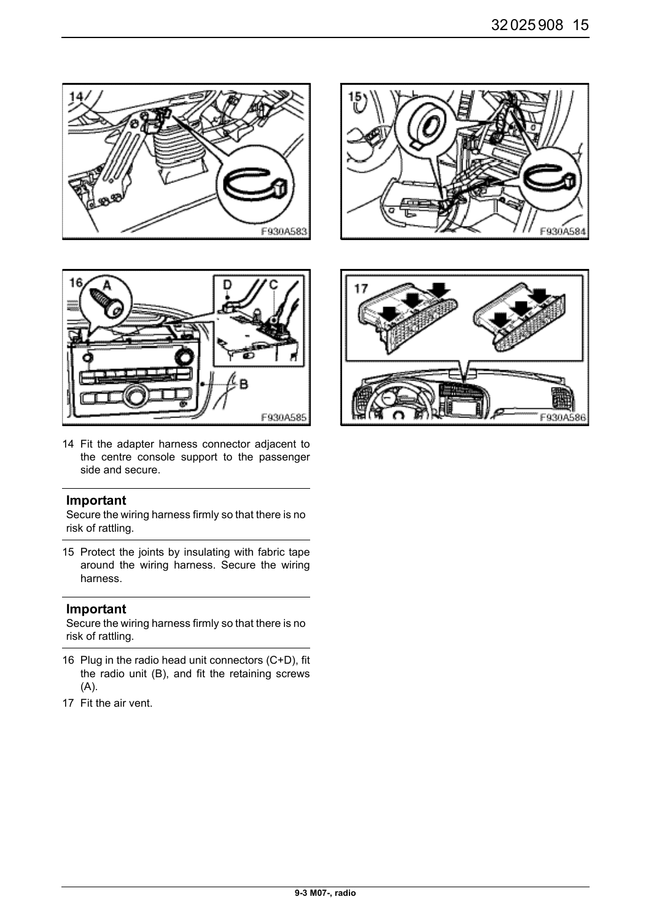





14 Fit the adapter harness connector adjacent to the centre console support to the passenger side and secure.

#### **Important**

Secure the wiring harness firmly so that there is no risk of rattling.

15 Protect the joints by insulating with fabric tape around the wiring harness. Secure the wiring harness.

#### **Important**

Secure the wiring harness firmly so that there is no risk of rattling.

- 16 Plug in the radio head unit connectors (C+D), fit the radio unit (B), and fit the retaining screws (A).
- 17 Fit the air vent.

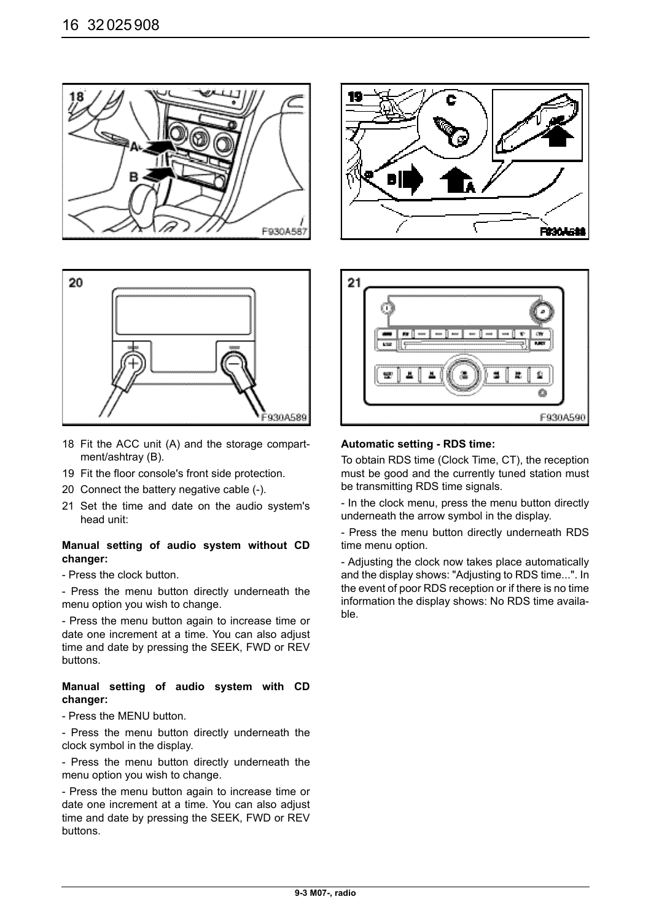



- 18 Fit the ACC unit (A) and the storage compartment/ashtray (B).
- 19 Fit the floor console's front side protection.
- 20 Connect the battery negative cable (-).
- 21 Set the time and date on the audio system's head unit:

#### **Manual setting of audio system without CD changer:**

- Press the clock button.

- Press the menu button directly underneath the menu option you wish to change.

- Press the menu button again to increase time or date one increment at a time. You can also adjust time and date by pressing the SEEK, FWD or REV buttons.

#### **Manual setting of audio system with CD changer:**

- Press the MENU button.

- Press the menu button directly underneath the clock symbol in the display.

- Press the menu button directly underneath the menu option you wish to change.

- Press the menu button again to increase time or date one increment at a time. You can also adjust time and date by pressing the SEEK, FWD or REV buttons.





#### **Automatic setting - RDS time:**

To obtain RDS time (Clock Time, CT), the reception must be good and the currently tuned station must be transmitting RDS time signals.

- In the clock menu, press the menu button directly underneath the arrow symbol in the display.

- Press the menu button directly underneath RDS time menu option.

- Adjusting the clock now takes place automatically and the display shows: "Adjusting to RDS time...". In the event of poor RDS reception or if there is no time information the display shows: No RDS time available.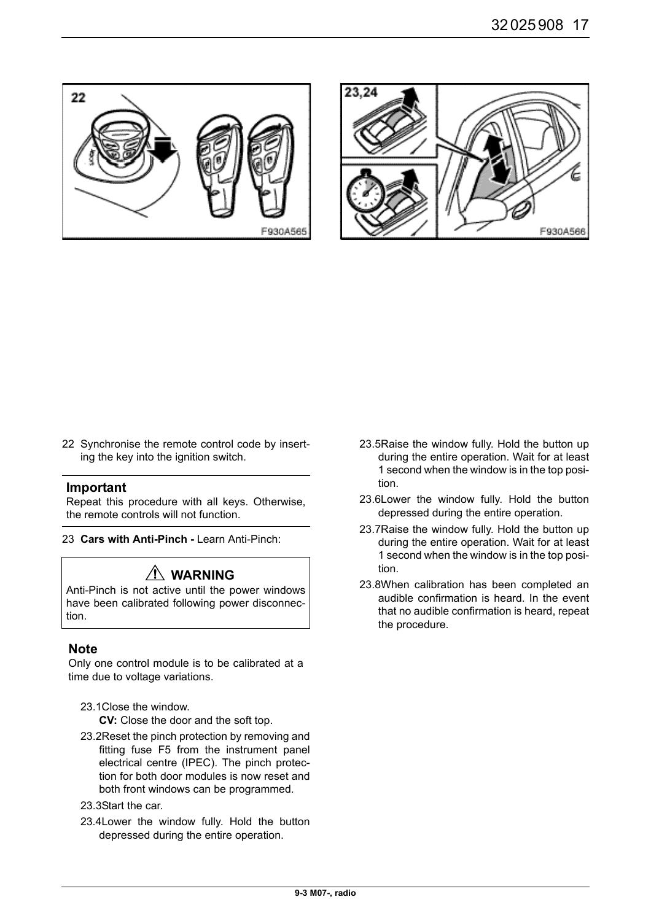



22 Synchronise the remote control code by inserting the key into the ignition switch.

#### **Important**

Repeat this procedure with all keys. Otherwise, the remote controls will not function.

23 **Cars with Anti-Pinch -** Learn Anti-Pinch:

# **WARNING**

Anti-Pinch is not active until the power windows have been calibrated following power disconnection.

# **Note**

Only one control module is to be calibrated at a time due to voltage variations.

23.1Close the window.

**CV:** Close the door and the soft top.

- 23.2Reset the pinch protection by removing and fitting fuse F5 from the instrument panel electrical centre (IPEC). The pinch protection for both door modules is now reset and both front windows can be programmed.
- 23.3Start the car.
- 23.4Lower the window fully. Hold the button depressed during the entire operation.
- 23.5Raise the window fully. Hold the button up during the entire operation. Wait for at least 1 second when the window is in the top position.
- 23.6Lower the window fully. Hold the button depressed during the entire operation.
- 23.7Raise the window fully. Hold the button up during the entire operation. Wait for at least 1 second when the window is in the top position.
- 23.8When calibration has been completed an audible confirmation is heard. In the event that no audible confirmation is heard, repeat the procedure.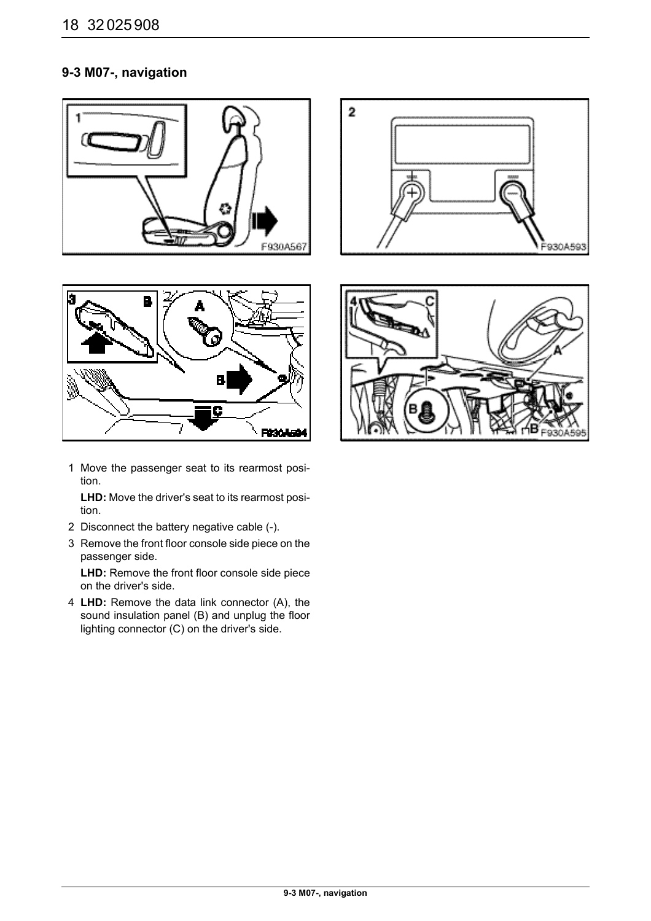# **9-3 M07-, navigation**







1 Move the passenger seat to its rearmost position.

**LHD:** Move the driver's seat to its rearmost position.

- 2 Disconnect the battery negative cable (-).
- 3 Remove the front floor console side piece on the passenger side.

LHD: Remove the front floor console side piece on the driver's side.

4 **LHD:** Remove the data link connector (A), the sound insulation panel (B) and unplug the floor lighting connector (C) on the driver's side.

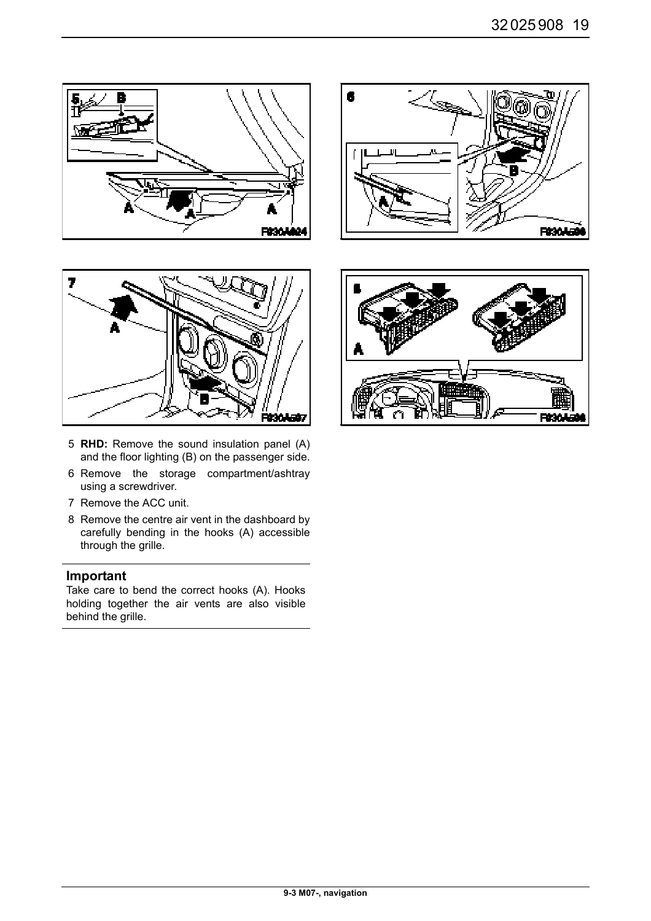



- 5 **RHD:** Remove the sound insulation panel (A) and the floor lighting (B) on the passenger side.
- 6 Remove the storage compartment/ashtray using a screwdriver.
- 7 Remove the ACC unit.
- 8 Remove the centre air vent in the dashboard by carefully bending in the hooks (A) accessible through the grille.

Take care to bend the correct hooks (A). Hooks holding together the air vents are also visible behind the grille.



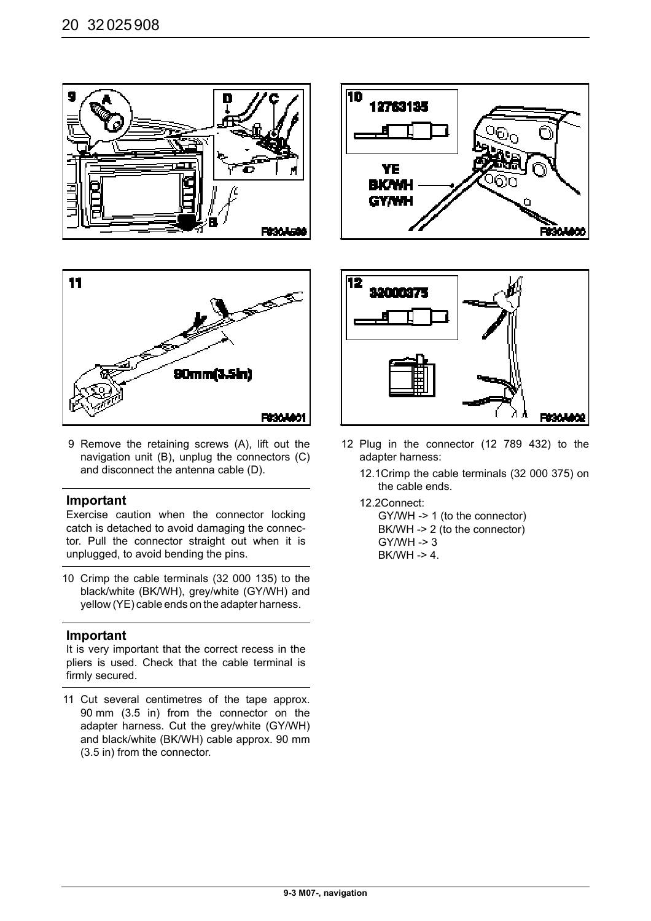





9 Remove the retaining screws (A), lift out the navigation unit (B), unplug the connectors (C) and disconnect the antenna cable (D).

#### **Important**

Exercise caution when the connector locking catch is detached to avoid damaging the connector. Pull the connector straight out when it is unplugged, to avoid bending the pins.

10 Crimp the cable terminals (32 000 135) to the black/white (BK/WH), grey/white (GY/WH) and yellow (YE) cable ends on the adapter harness.

#### **Important**

It is very important that the correct recess in the pliers is used. Check that the cable terminal is firmly secured.

11 Cut several centimetres of the tape approx. 90 mm (3.5 in) from the connector on the adapter harness. Cut the grey/white (GY/WH) and black/white (BK/WH) cable approx. 90 mm (3.5 in) from the connector.



- 12 Plug in the connector (12 789 432) to the adapter harness:
	- 12.1Crimp the cable terminals (32 000 375) on the cable ends.
	- 12.2Connect:

GY/WH -> 1 (to the connector) BK/WH -> 2 (to the connector) GY/WH -> 3 BK/WH -> 4.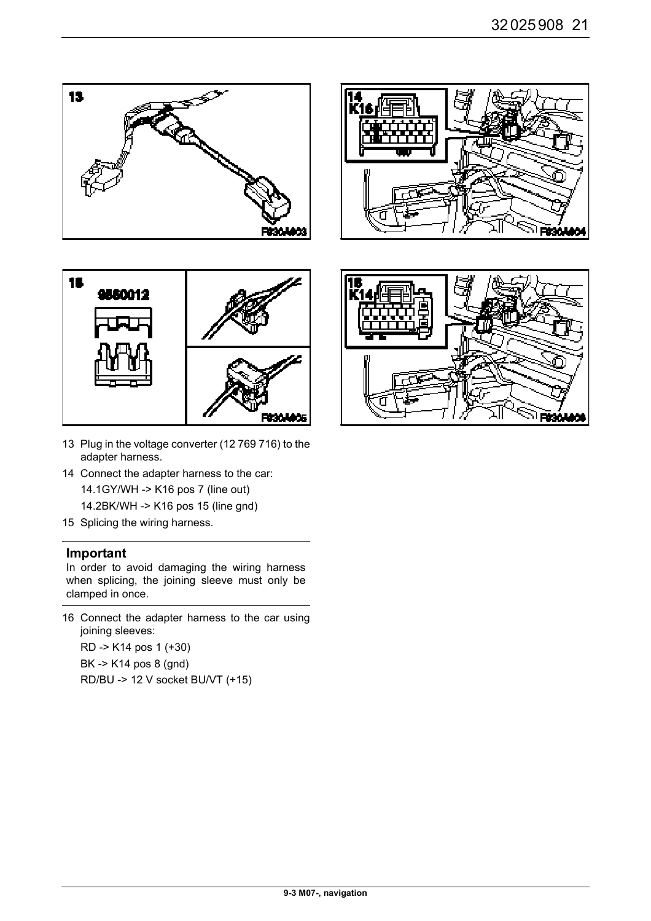

- 13 Plug in the voltage converter (12 769 716) to the adapter harness.
- 14 Connect the adapter harness to the car: 14.1GY/WH -> K16 pos 7 (line out) 14.2BK/WH -> K16 pos 15 (line gnd)
- 15 Splicing the wiring harness.

In order to avoid damaging the wiring harness when splicing, the joining sleeve must only be clamped in once.

16 Connect the adapter harness to the car using joining sleeves: RD -> K14 pos 1 (+30)

BK -> K14 pos 8 (gnd) RD/BU -> 12 V socket BU/VT (+15)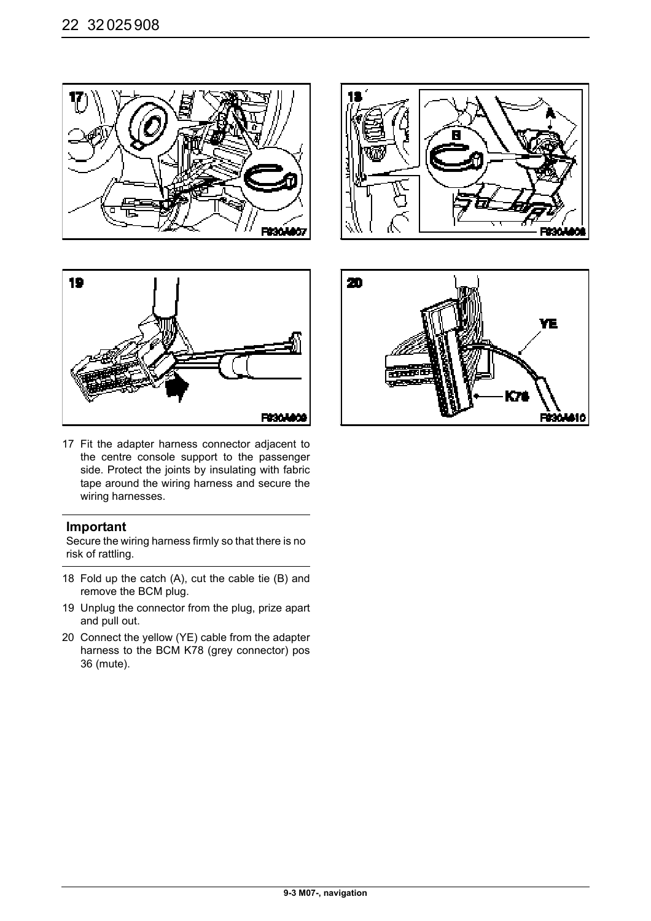







17 Fit the adapter harness connector adjacent to the centre console support to the passenger side. Protect the joints by insulating with fabric tape around the wiring harness and secure the wiring harnesses.

#### **Important**

Secure the wiring harness firmly so that there is no risk of rattling.

- 18 Fold up the catch (A), cut the cable tie (B) and remove the BCM plug.
- 19 Unplug the connector from the plug, prize apart and pull out.
- 20 Connect the yellow (YE) cable from the adapter harness to the BCM K78 (grey connector) pos 36 (mute).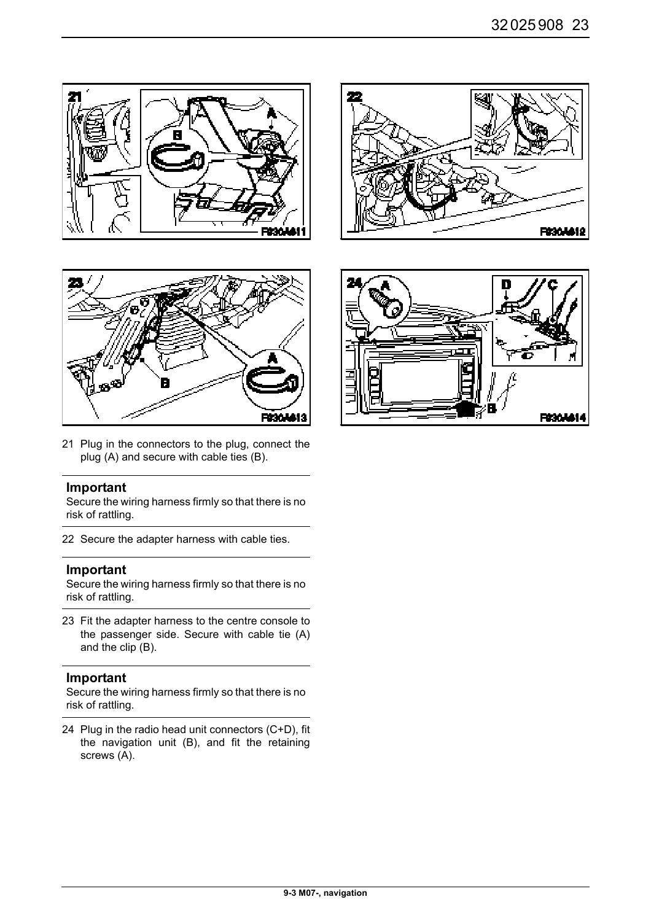



21 Plug in the connectors to the plug, connect the plug (A) and secure with cable ties (B).

#### **Important**

Secure the wiring harness firmly so that there is no risk of rattling.

22 Secure the adapter harness with cable ties.

#### **Important**

Secure the wiring harness firmly so that there is no risk of rattling.

23 Fit the adapter harness to the centre console to the passenger side. Secure with cable tie (A) and the clip (B).

#### **Important**

Secure the wiring harness firmly so that there is no risk of rattling.

24 Plug in the radio head unit connectors (C+D), fit the navigation unit (B), and fit the retaining screws (A).



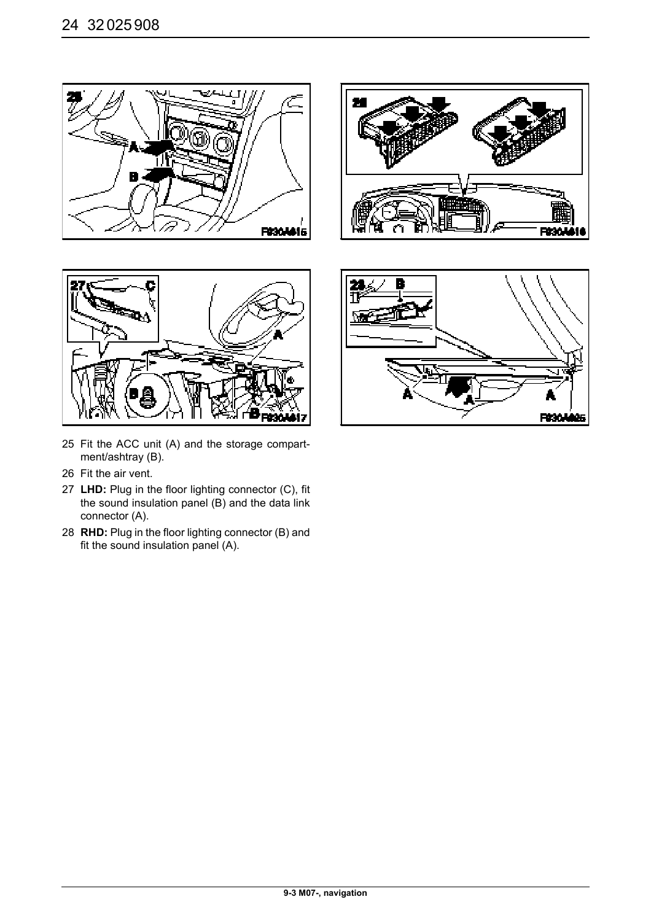





- 25 Fit the ACC unit (A) and the storage compartment/ashtray (B).
- 26 Fit the air vent.
- 27 **LHD:** Plug in the floor lighting connector (C), fit the sound insulation panel  $(B)$  and the data link connector (A).
- 28 **RHD:** Plug in the floor lighting connector (B) and fit the sound insulation panel (A).

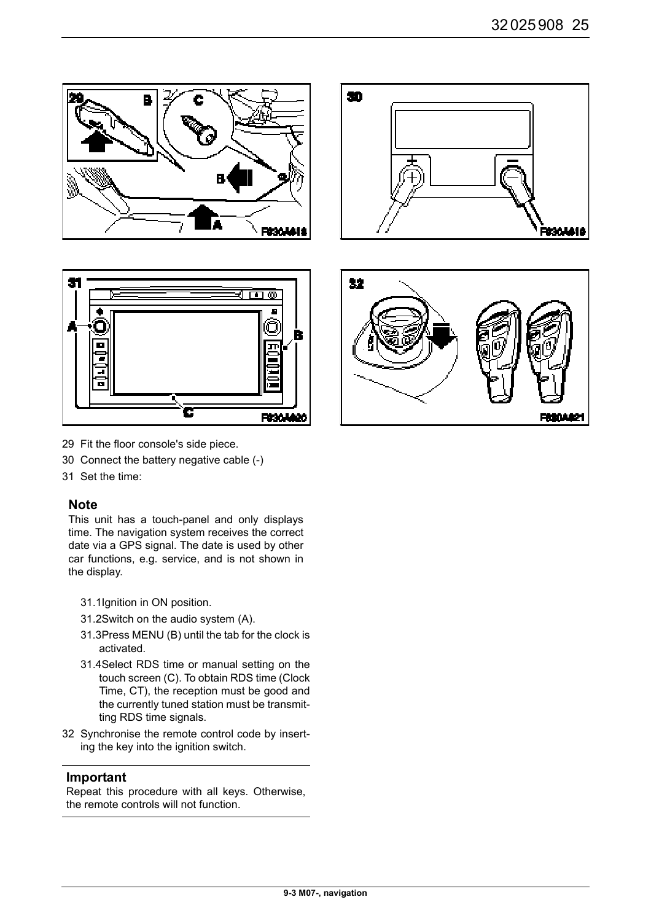



- 29 Fit the floor console's side piece.
- 30 Connect the battery negative cable (-)
- 31 Set the time:

#### **Note**

This unit has a touch-panel and only displays time. The navigation system receives the correct date via a GPS signal. The date is used by other car functions, e.g. service, and is not shown in the display.

- 31.1Ignition in ON position.
- 31.2Switch on the audio system (A).
- 31.3Press MENU (B) until the tab for the clock is activated.
- 31.4Select RDS time or manual setting on the touch screen (C). To obtain RDS time (Clock Time, CT), the reception must be good and the currently tuned station must be transmitting RDS time signals.
- 32 Synchronise the remote control code by inserting the key into the ignition switch.

#### **Important**

Repeat this procedure with all keys. Otherwise, the remote controls will not function.



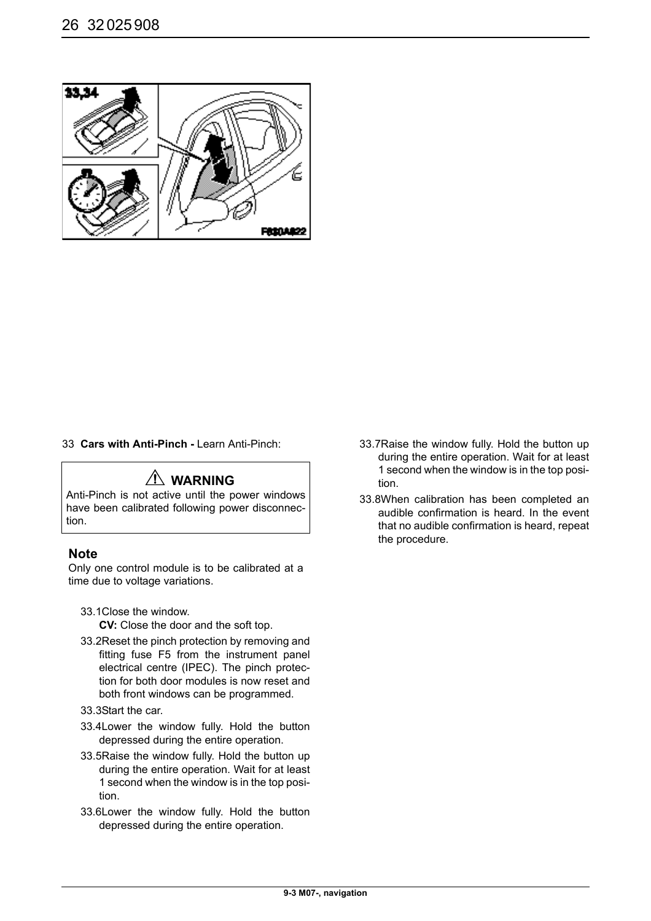

33 **Cars with Anti-Pinch -** Learn Anti-Pinch:

# **WARNING**

Anti-Pinch is not active until the power windows have been calibrated following power disconnection.

#### **Note**

Only one control module is to be calibrated at a time due to voltage variations.

- 33.1Close the window. **CV:** Close the door and the soft top.
- 33.2Reset the pinch protection by removing and fitting fuse F5 from the instrument panel electrical centre (IPEC). The pinch protection for both door modules is now reset and both front windows can be programmed.
- 33.3Start the car.
- 33.4Lower the window fully. Hold the button depressed during the entire operation.
- 33.5Raise the window fully. Hold the button up during the entire operation. Wait for at least 1 second when the window is in the top position.
- 33.6Lower the window fully. Hold the button depressed during the entire operation.
- 33.7Raise the window fully. Hold the button up during the entire operation. Wait for at least 1 second when the window is in the top position.
- 33.8When calibration has been completed an audible confirmation is heard. In the event that no audible confirmation is heard, repeat the procedure.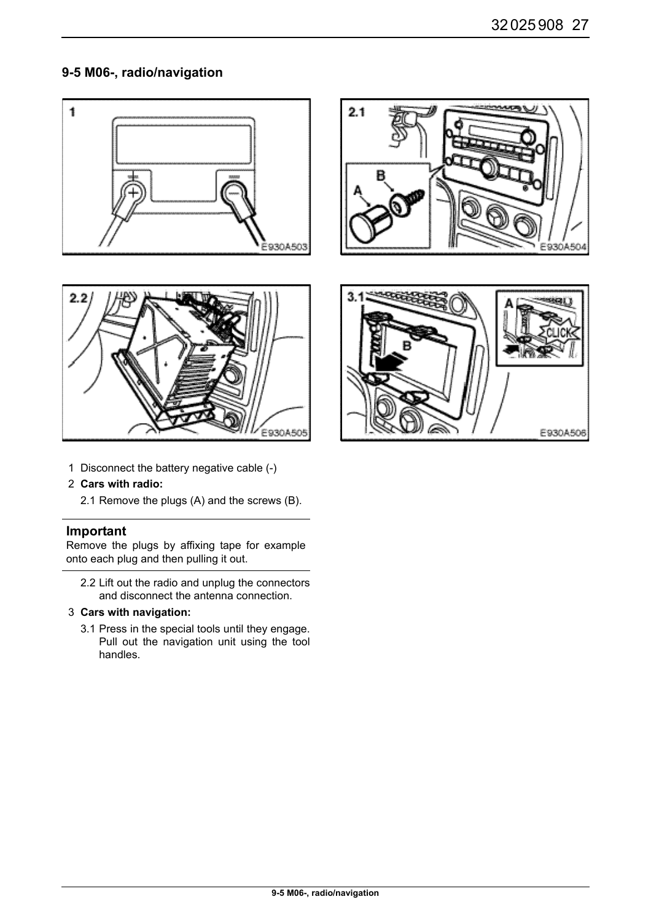# **9-5 M06-, radio/navigation**





1 Disconnect the battery negative cable (-)

#### 2 **Cars with radio:**

2.1 Remove the plugs (A) and the screws (B).

#### **Important**

Remove the plugs by affixing tape for example onto each plug and then pulling it out.

- 2.2 Lift out the radio and unplug the connectors and disconnect the antenna connection.
- 3 **Cars with navigation:** 
	- 3.1 Press in the special tools until they engage. Pull out the navigation unit using the tool handles.



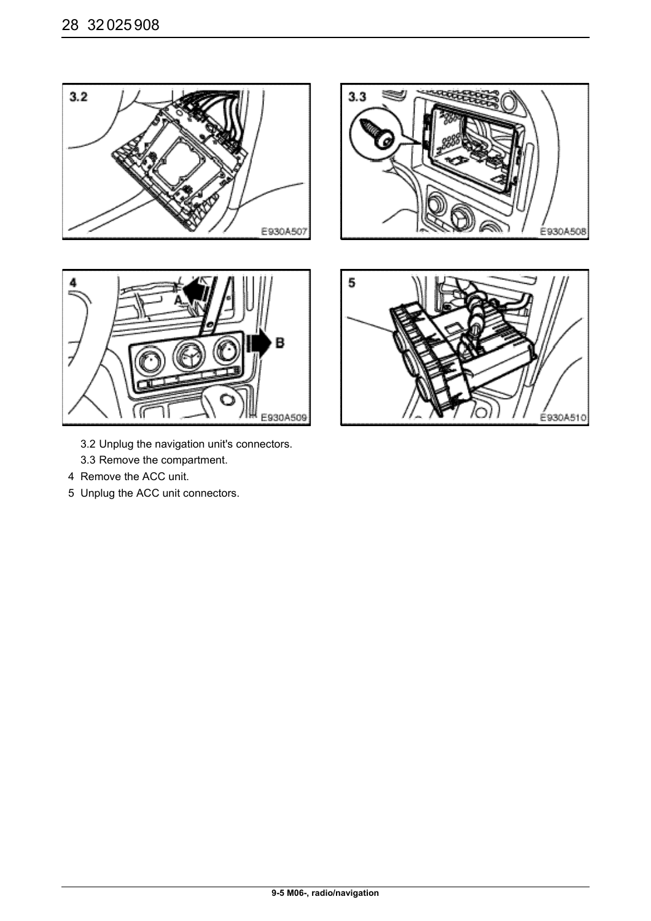



- 3.2 Unplug the navigation unit's connectors.
- 3.3 Remove the compartment.
- 4 Remove the ACC unit.
- 5 Unplug the ACC unit connectors.



É930A508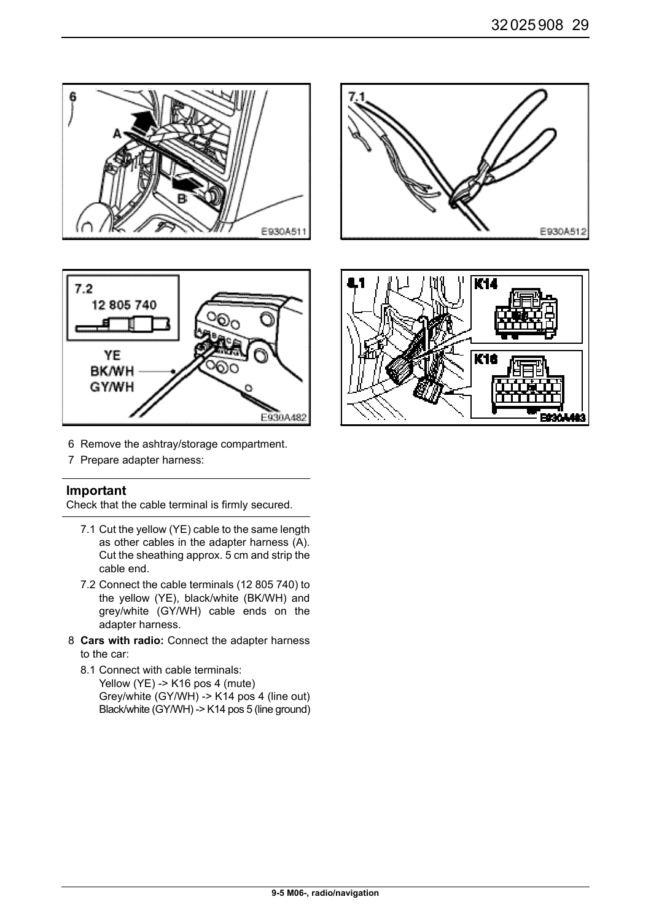



- 6 Remove the ashtray/storage compartment.
- 7 Prepare adapter harness:

Check that the cable terminal is firmly secured.

- 7.1 Cut the yellow (YE) cable to the same length as other cables in the adapter harness (A). Cut the sheathing approx. 5 cm and strip the cable end.
- 7.2 Connect the cable terminals (12 805 740) to the yellow (YE), black/white (BK/WH) and grey/white (GY/WH) cable ends on the adapter harness.
- 8 **Cars with radio:** Connect the adapter harness to the car:
	- 8.1 Connect with cable terminals: Yellow (YE) -> K16 pos 4 (mute) Grey/white (GY/WH) -> K14 pos 4 (line out) Black/white (GY/WH) -> K14 pos 5 (line ground)



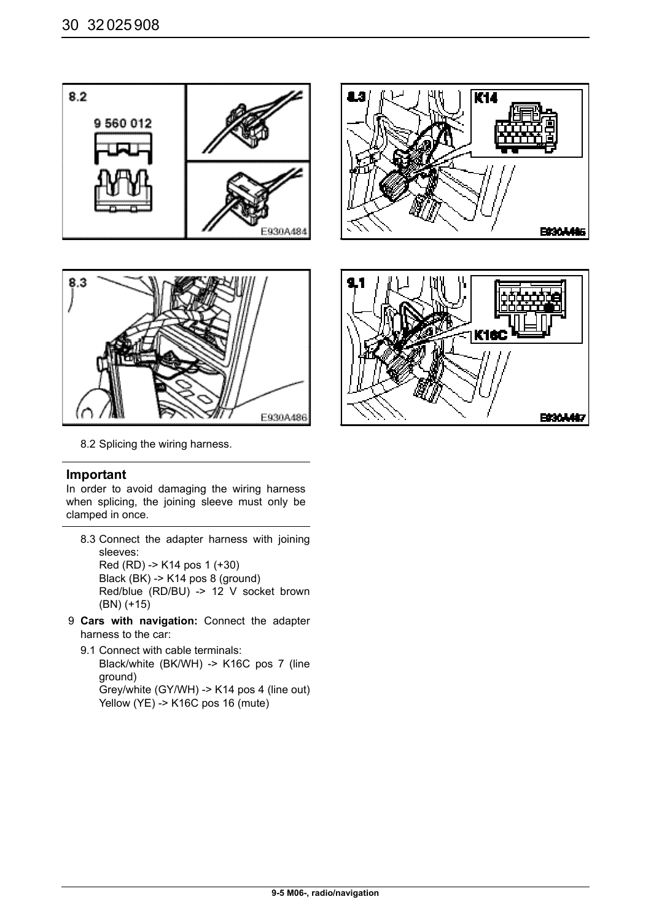



8.2 Splicing the wiring harness.

In order to avoid damaging the wiring harness when splicing, the joining sleeve must only be clamped in once.

- 8.3 Connect the adapter harness with joining sleeves: Red (RD) -> K14 pos 1 (+30) Black (BK) -> K14 pos 8 (ground) Red/blue (RD/BU) -> 12 V socket brown (BN) (+15)
- 9 **Cars with navigation:** Connect the adapter harness to the car:
	- 9.1 Connect with cable terminals: Black/white (BK/WH) -> K16C pos 7 (line ground) Grey/white (GY/WH) -> K14 pos 4 (line out) Yellow (YE) -> K16C pos 16 (mute)



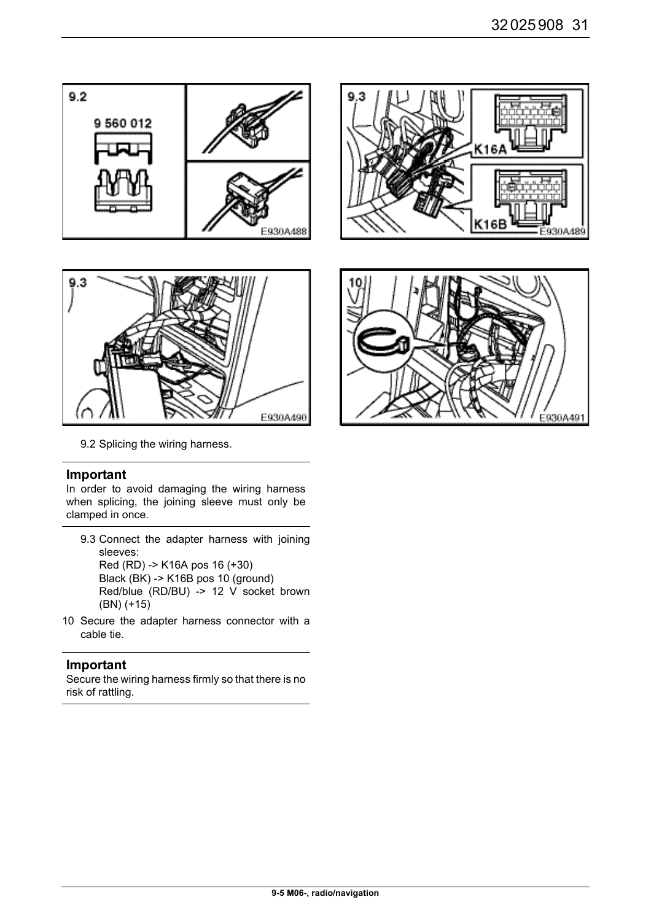



9.2 Splicing the wiring harness.

In order to avoid damaging the wiring harness when splicing, the joining sleeve must only be clamped in once.

| 9.3 Connect the adapter harness with joining |  |
|----------------------------------------------|--|
| sleeves:                                     |  |
| Red (RD) -> K16A pos 16 (+30)                |  |
| Black (BK) -> K16B pos 10 (ground)           |  |
| Red/blue (RD/BU) -> 12 V socket brown        |  |
| $(BN)$ (+15)                                 |  |

10 Secure the adapter harness connector with a cable tie.

#### **Important**

Secure the wiring harness firmly so that there is no risk of rattling.



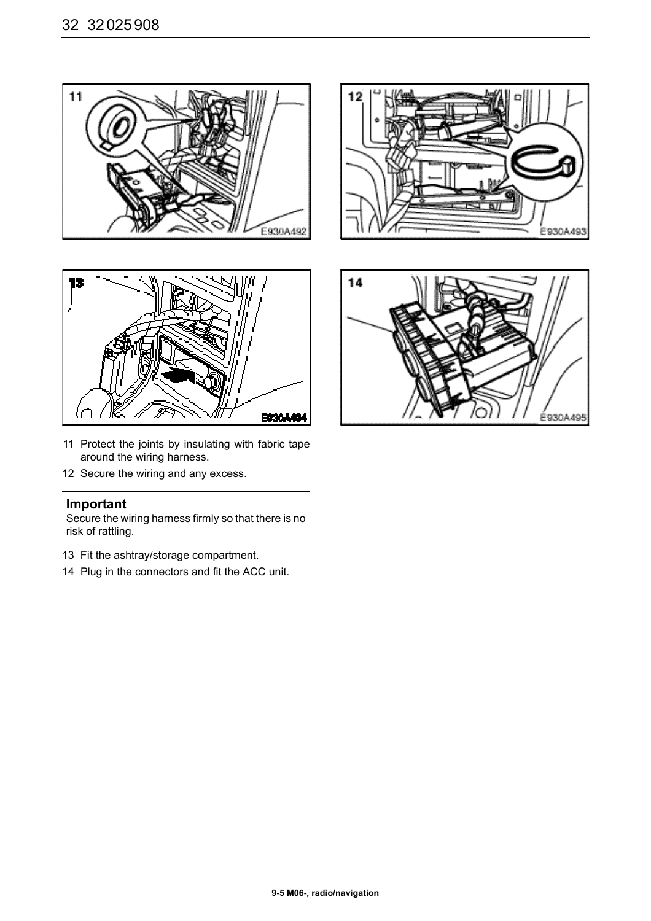



- 11 Protect the joints by insulating with fabric tape around the wiring harness.
- 12 Secure the wiring and any excess.

Secure the wiring harness firmly so that there is no risk of rattling.

- 13 Fit the ashtray/storage compartment.
- 14 Plug in the connectors and fit the ACC unit.



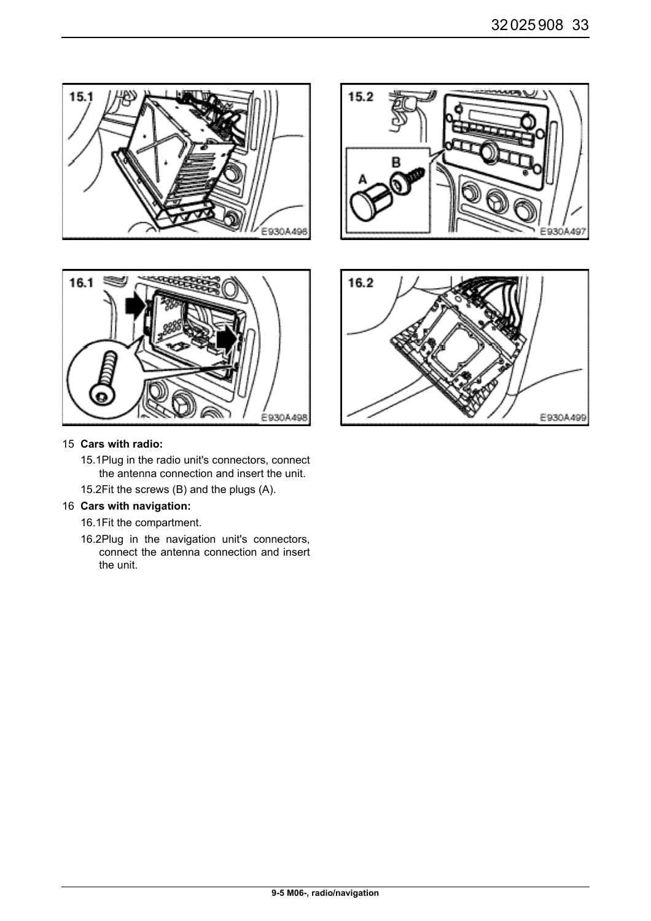



#### 15 **Cars with radio:**

- 15.1Plug in the radio unit's connectors, connect the antenna connection and insert the unit.
- 15.2Fit the screws (B) and the plugs (A).

#### 16 **Cars with navigation:**

- 16.1Fit the compartment.
- 16.2Plug in the navigation unit's connectors, connect the antenna connection and insert the unit.



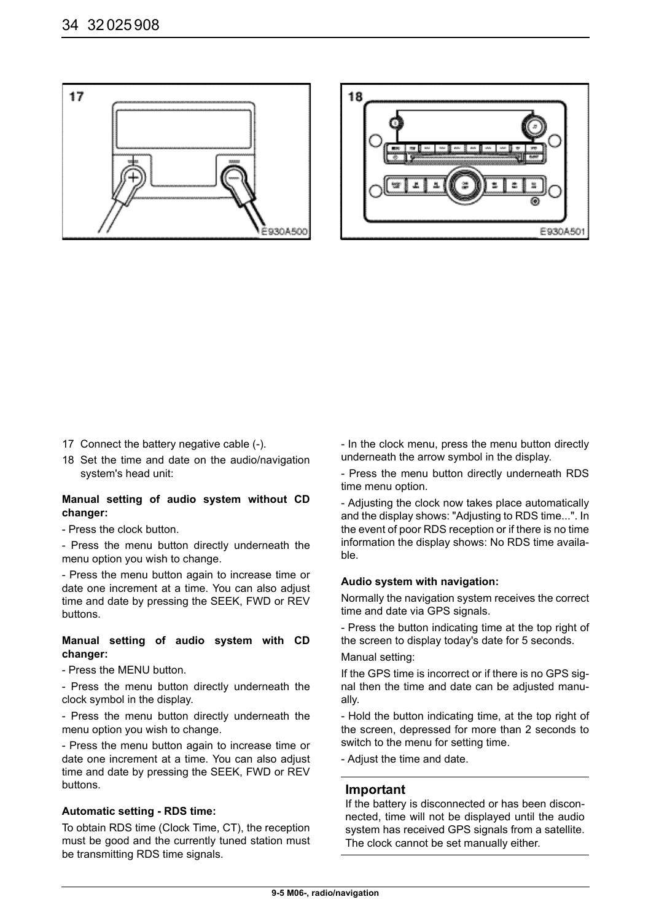



- 17 Connect the battery negative cable (-).
- 18 Set the time and date on the audio/navigation system's head unit:

#### **Manual setting of audio system without CD changer:**

- Press the clock button.

- Press the menu button directly underneath the menu option you wish to change.

- Press the menu button again to increase time or date one increment at a time. You can also adjust time and date by pressing the SEEK, FWD or REV buttons.

#### **Manual setting of audio system with CD changer:**

- Press the MENU button.

- Press the menu button directly underneath the clock symbol in the display.

- Press the menu button directly underneath the menu option you wish to change.

- Press the menu button again to increase time or date one increment at a time. You can also adjust time and date by pressing the SEEK, FWD or REV buttons.

#### **Automatic setting - RDS time:**

To obtain RDS time (Clock Time, CT), the reception must be good and the currently tuned station must be transmitting RDS time signals.

- In the clock menu, press the menu button directly underneath the arrow symbol in the display.

- Press the menu button directly underneath RDS time menu option.

- Adjusting the clock now takes place automatically and the display shows: "Adjusting to RDS time...". In the event of poor RDS reception or if there is no time information the display shows: No RDS time available.

#### **Audio system with navigation:**

Normally the navigation system receives the correct time and date via GPS signals.

- Press the button indicating time at the top right of the screen to display today's date for 5 seconds.

#### Manual setting:

If the GPS time is incorrect or if there is no GPS signal then the time and date can be adjusted manually.

- Hold the button indicating time, at the top right of the screen, depressed for more than 2 seconds to switch to the menu for setting time.

- Adjust the time and date.

#### **Important**

If the battery is disconnected or has been disconnected, time will not be displayed until the audio system has received GPS signals from a satellite. The clock cannot be set manually either.